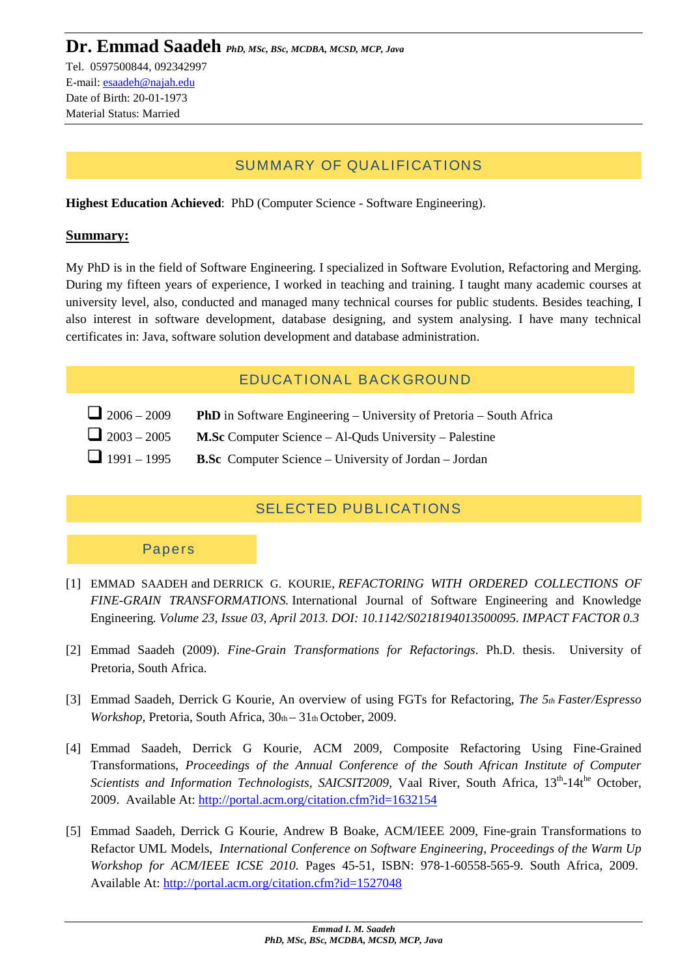## SUMMARY OF QUALIFICATIONS

**Highest Education Achieved**: PhD (Computer Science - Software Engineering).

#### **Summary:**

My PhD is in the field of Software Engineering. I specialized in Software Evolution, Refactoring and Merging. During my fifteen years of experience, I worked in teaching and training. I taught many academic courses at university level, also, conducted and managed many technical courses for public students. Besides teaching, I also interest in software development, database designing, and system analysing. I have many technical certificates in: Java, software solution development and database administration.

## EDUCATIONAL BACKGROUND

- <sup>2006</sup> <sup>2009</sup> **PhD** in Software Engineering University of Pretoria South Africa
- <sup>2003</sup> <sup>2005</sup> **M.Sc** Computer Science Al-Quds University Palestine
- <sup>1991</sup> <sup>1995</sup> **B.Sc** Computer Science University of Jordan Jordan

### SELECTED PUBLICATIONS

#### Papers

- [1] EMMAD SAADEH and DERRICK G. KOURIE, *REFACTORING WITH ORDERED COLLECTIONS OF FINE-GRAIN TRANSFORMATIONS.* International Journal of Software Engineering and Knowledge Engineering*. Volume 23, Issue 03, April 2013. DOI: 10.1142/S0218194013500095. IMPACT FACTOR 0.3*
- [2] Emmad Saadeh (2009). *Fine-Grain Transformations for Refactorings*. Ph.D. thesis. University of Pretoria, South Africa.
- [3] Emmad Saadeh, Derrick G Kourie, An overview of using FGTs for Refactoring, *The 5th Faster/Espresso Workshop*, Pretoria, South Africa,  $30<sub>th</sub> - 31<sub>th</sub>$  October, 2009.
- [4] Emmad Saadeh, Derrick G Kourie, ACM 2009, Composite Refactoring Using Fine-Grained Transformations, *Proceedings of the Annual Conference of the South African Institute of Computer Scientists and Information Technologists, SAICSIT2009*, Vaal River, South Africa, 13<sup>th</sup>-14t<sup>he</sup> October, 2009. Available At: http://portal.acm.org/citation.cfm?id=1632154
- [5] Emmad Saadeh, Derrick G Kourie, Andrew B Boake, ACM/IEEE 2009, Fine-grain Transformations to Refactor UML Models, *International Conference on Software Engineering, Proceedings of the Warm Up Workshop for ACM/IEEE ICSE 2010.* Pages 45-51, ISBN: 978-1-60558-565-9. South Africa, 2009. Available At: http://portal.acm.org/citation.cfm?id=1527048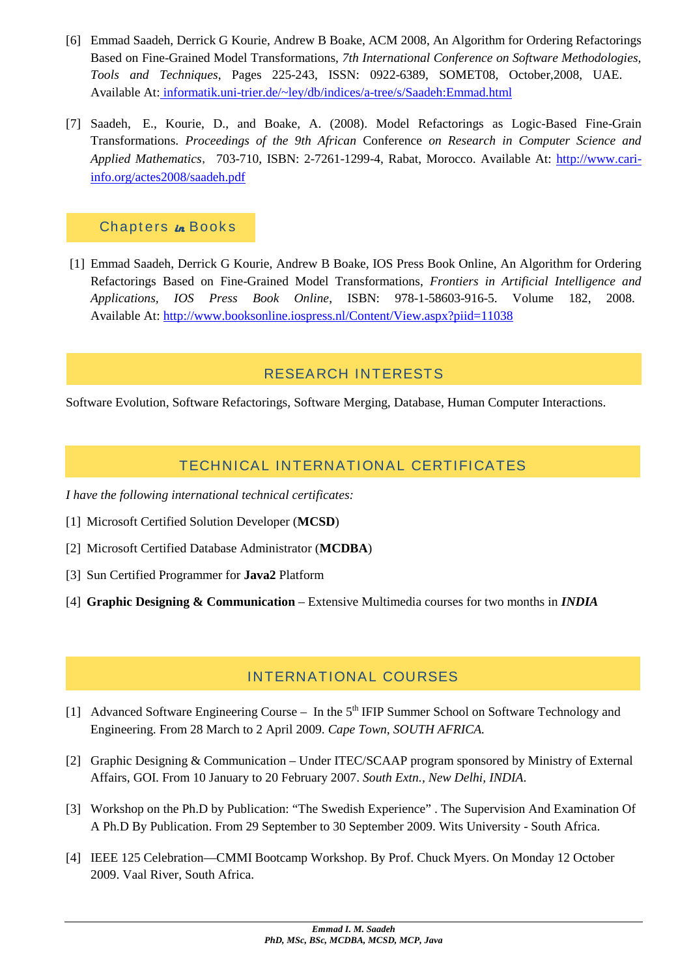- [6] Emmad Saadeh, Derrick G Kourie, Andrew B Boake, ACM 2008, An Algorithm for Ordering Refactorings Based on Fine-Grained Model Transformations, *7th International Conference on Software Methodologies, Tools and Techniques*, Pages 225-243, ISSN: 0922-6389, SOMET08, October,2008, UAE. Available At: informatik.uni-trier.de/~ley/db/indices/a-tree/s/Saadeh:Emmad.html
- [7] Saadeh, E., Kourie, D., and Boake, A. (2008). Model Refactorings as Logic-Based Fine-Grain Transformations. *Proceedings of the 9th African* Conference *on Research in Computer Science and Applied Mathematics*, 703-710, ISBN: 2-7261-1299-4, Rabat, Morocco. Available At: http://www.cariinfo.org/actes2008/saadeh.pdf

### Chapters *in* Books

[1] Emmad Saadeh, Derrick G Kourie, Andrew B Boake, IOS Press Book Online, An Algorithm for Ordering Refactorings Based on Fine-Grained Model Transformations, *Frontiers in Artificial Intelligence and Applications, IOS Press Book Online*, ISBN: 978-1-58603-916-5. Volume 182, 2008. Available At: http://www.booksonline.iospress.nl/Content/View.aspx?piid=11038

### RESEARCH INTERESTS

Software Evolution, Software Refactorings, Software Merging, Database, Human Computer Interactions.

### TECHNICAL INTERNATIONAL CERTIFICATES

*I have the following international technical certificates:*

- [1] Microsoft Certified Solution Developer (**MCSD**)
- [2] Microsoft Certified Database Administrator (**MCDBA**)
- [3] Sun Certified Programmer for **Java2** Platform
- [4] **Graphic Designing & Communication** Extensive Multimedia courses for two months in *INDIA*

## INTERNATIONAL COURSES

- [1] Advanced Software Engineering Course In the  $5<sup>th</sup>$  IFIP Summer School on Software Technology and Engineering. From 28 March to 2 April 2009. *Cape Town, SOUTH AFRICA.*
- [2] Graphic Designing & Communication Under ITEC/SCAAP program sponsored by Ministry of External Affairs, GOI. From 10 January to 20 February 2007. *South Extn., New Delhi, INDIA*.
- [3] Workshop on the Ph.D by Publication: "The Swedish Experience" . The Supervision And Examination Of A Ph.D By Publication. From 29 September to 30 September 2009. Wits University - South Africa.
- [4] IEEE 125 Celebration—CMMI Bootcamp Workshop. By Prof. Chuck Myers. On Monday 12 October 2009. Vaal River, South Africa.